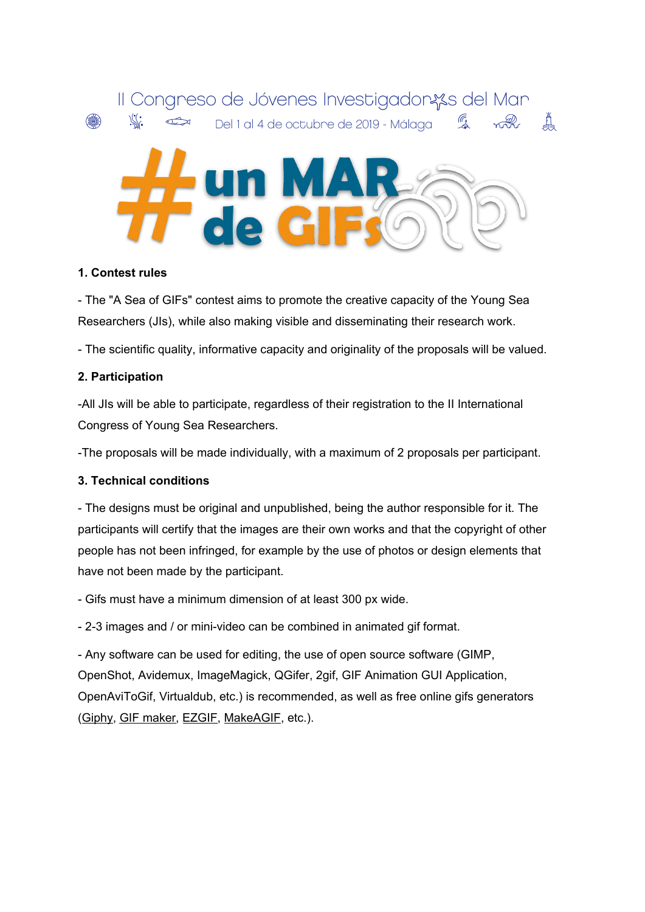

### **1. Contest rules**

- The "A Sea of GIFs" contest aims to promote the creative capacity of the Young Sea Researchers (JIs), while also making visible and disseminating their research work.

- The scientific quality, informative capacity and originality of the proposals will be valued.

### **2. Participation**

-All JIs will be able to participate, regardless of their registration to the II International Congress of Young Sea Researchers.

-The proposals will be made individually, with a maximum of 2 proposals per participant.

# **3. Technical conditions**

- The designs must be original and unpublished, being the author responsible for it. The participants will certify that the images are their own works and that the copyright of other people has not been infringed, for example by the use of photos or design elements that have not been made by the participant.

- Gifs must have a minimum dimension of at least 300 px wide.

- 2-3 images and / or mini-video can be combined in animated gif format.

- Any software can be used for editing, the use of open source software (GIMP, OpenShot, Avidemux, ImageMagick, QGifer, 2gif, GIF Animation GUI Application, OpenAviToGif, Virtualdub, etc.) is recommended, as well as free online gifs generators ([Giphy](https://giphy.com/create/gifmaker), GIF [maker,](http://gifmaker.me/) [EZGIF](https://ezgif.com/video-to-gif), [MakeAGIF,](http://makeagif.com/) etc.).